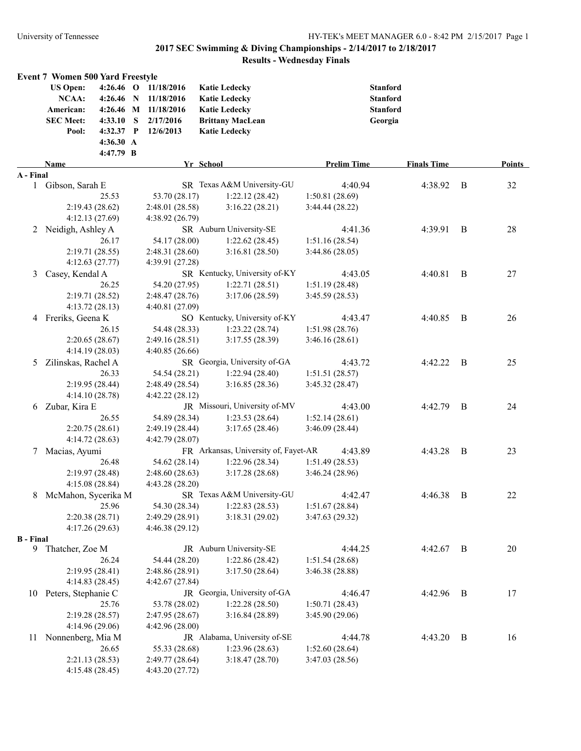|                  | <b>Event 7 Women 500 Yard Freestyle</b> |                      |                                      |                    |                    |   |               |
|------------------|-----------------------------------------|----------------------|--------------------------------------|--------------------|--------------------|---|---------------|
|                  | <b>US Open:</b><br>$4:26.46$ O          | 11/18/2016           | <b>Katie Ledecky</b>                 | <b>Stanford</b>    |                    |   |               |
|                  | NCAA:<br>$4:26.46$ N                    | 11/18/2016           | <b>Katie Ledecky</b>                 | <b>Stanford</b>    |                    |   |               |
|                  | American:                               | 4:26.46 M 11/18/2016 | <b>Katie Ledecky</b>                 | <b>Stanford</b>    |                    |   |               |
|                  | <b>SEC Meet:</b><br>4:33.10 S           | 2/17/2016            | <b>Brittany MacLean</b>              | Georgia            |                    |   |               |
|                  | 4:32.37 P<br>Pool:                      | 12/6/2013            | <b>Katie Ledecky</b>                 |                    |                    |   |               |
|                  | 4:36.30 A                               |                      |                                      |                    |                    |   |               |
|                  | 4:47.79 B                               |                      |                                      |                    |                    |   |               |
|                  | Name                                    |                      | Yr School                            | <b>Prelim Time</b> | <b>Finals Time</b> |   | <b>Points</b> |
| A - Final        |                                         |                      |                                      |                    |                    |   |               |
|                  | 1 Gibson, Sarah E                       |                      | SR Texas A&M University-GU           | 4:40.94            | 4:38.92            | B | 32            |
|                  | 25.53                                   | 53.70 (28.17)        | 1:22.12(28.42)                       | 1:50.81(28.69)     |                    |   |               |
|                  | 2:19.43(28.62)                          | 2:48.01 (28.58)      | 3:16.22(28.21)                       | 3:44.44(28.22)     |                    |   |               |
|                  | 4:12.13(27.69)                          | 4:38.92(26.79)       |                                      |                    |                    |   |               |
| 2                | Neidigh, Ashley A                       |                      | SR Auburn University-SE              | 4:41.36            | 4:39.91            | B | 28            |
|                  | 26.17                                   | 54.17 (28.00)        | 1:22.62(28.45)                       | 1:51.16(28.54)     |                    |   |               |
|                  | 2:19.71(28.55)                          | 2:48.31(28.60)       | 3:16.81(28.50)                       | 3:44.86(28.05)     |                    |   |               |
|                  | 4:12.63(27.77)                          | 4:39.91 (27.28)      |                                      |                    |                    |   |               |
| 3                | Casey, Kendal A                         |                      | SR Kentucky, University of-KY        | 4:43.05            | 4:40.81            | B | 27            |
|                  | 26.25                                   | 54.20 (27.95)        | 1:22.71(28.51)                       | 1:51.19(28.48)     |                    |   |               |
|                  | 2:19.71 (28.52)                         | 2:48.47(28.76)       | 3:17.06(28.59)                       | 3:45.59(28.53)     |                    |   |               |
|                  | 4:13.72(28.13)                          | 4:40.81 (27.09)      |                                      |                    |                    |   |               |
|                  | 4 Freriks, Geena K                      |                      | SO Kentucky, University of-KY        | 4:43.47            | 4:40.85            | B | 26            |
|                  | 26.15                                   | 54.48 (28.33)        | 1:23.22(28.74)                       | 1:51.98(28.76)     |                    |   |               |
|                  | 2:20.65(28.67)                          | 2:49.16(28.51)       | 3:17.55(28.39)                       | 3:46.16(28.61)     |                    |   |               |
|                  | 4:14.19(28.03)                          | 4:40.85(26.66)       |                                      |                    |                    |   |               |
| 5                | Zilinskas, Rachel A                     |                      | SR Georgia, University of-GA         | 4:43.72            | 4:42.22            | B | 25            |
|                  | 26.33                                   | 54.54 (28.21)        | 1:22.94(28.40)                       | 1:51.51(28.57)     |                    |   |               |
|                  | 2:19.95 (28.44)                         | 2:48.49 (28.54)      | 3:16.85(28.36)                       | 3:45.32 (28.47)    |                    |   |               |
|                  | 4:14.10(28.78)                          | 4:42.22(28.12)       |                                      |                    |                    |   |               |
| 6                | Zubar, Kira E                           |                      | JR Missouri, University of-MV        | 4:43.00            | 4:42.79            | B | 24            |
|                  | 26.55                                   | 54.89 (28.34)        | 1:23.53(28.64)                       | 1:52.14(28.61)     |                    |   |               |
|                  | 2:20.75(28.61)                          | 2:49.19(28.44)       | 3:17.65(28.46)                       | 3:46.09(28.44)     |                    |   |               |
|                  | 4:14.72(28.63)                          | 4:42.79 (28.07)      |                                      |                    |                    |   |               |
| 7                | Macias, Ayumi                           |                      | FR Arkansas, University of, Fayet-AR | 4:43.89            | 4:43.28            | B | 23            |
|                  | 26.48                                   | 54.62 (28.14)        | 1:22.96(28.34)                       | 1:51.49(28.53)     |                    |   |               |
|                  | 2:19.97(28.48)                          | 2:48.60(28.63)       | 3:17.28(28.68)                       | 3:46.24(28.96)     |                    |   |               |
|                  | 4:15.08(28.84)                          | 4:43.28(28.20)       |                                      |                    |                    |   |               |
| 8                | McMahon, Sycerika M                     |                      | SR Texas A&M University-GU           | 4:42.47            | 4:46.38            | B | 22            |
|                  | 25.96                                   | 54.30 (28.34)        | 1:22.83(28.53)                       | 1:51.67(28.84)     |                    |   |               |
|                  | 2:20.38(28.71)                          | 2:49.29 (28.91)      | 3:18.31(29.02)                       | 3:47.63(29.32)     |                    |   |               |
|                  | 4:17.26(29.63)                          | 4:46.38(29.12)       |                                      |                    |                    |   |               |
| <b>B</b> - Final |                                         |                      |                                      |                    |                    |   |               |
|                  | 9 Thatcher, Zoe M                       |                      | JR Auburn University-SE              | 4:44.25            | 4:42.67            | B | 20            |
|                  | 26.24                                   | 54.44 (28.20)        | 1:22.86(28.42)                       | 1:51.54(28.68)     |                    |   |               |
|                  | 2:19.95(28.41)                          | 2:48.86 (28.91)      | 3:17.50(28.64)                       | 3:46.38 (28.88)    |                    |   |               |
|                  | 4:14.83(28.45)                          | 4:42.67(27.84)       |                                      |                    |                    |   |               |
|                  | 10 Peters, Stephanie C                  |                      | JR Georgia, University of-GA         | 4:46.47            | 4:42.96            | B | 17            |
|                  | 25.76                                   | 53.78 (28.02)        | 1:22.28(28.50)                       | 1:50.71(28.43)     |                    |   |               |
|                  | 2:19.28(28.57)                          | 2:47.95(28.67)       | 3:16.84(28.89)                       | 3:45.90(29.06)     |                    |   |               |
|                  | 4:14.96(29.06)                          | 4:42.96(28.00)       |                                      |                    |                    |   |               |
| 11               | Nonnenberg, Mia M                       |                      | JR Alabama, University of-SE         | 4:44.78            | 4:43.20            | B | 16            |
|                  | 26.65                                   | 55.33 (28.68)        | 1:23.96(28.63)                       | 1:52.60(28.64)     |                    |   |               |
|                  | 2:21.13(28.53)                          | 2:49.77(28.64)       | 3:18.47(28.70)                       | 3:47.03 (28.56)    |                    |   |               |
|                  | 4:15.48(28.45)                          | 4:43.20 (27.72)      |                                      |                    |                    |   |               |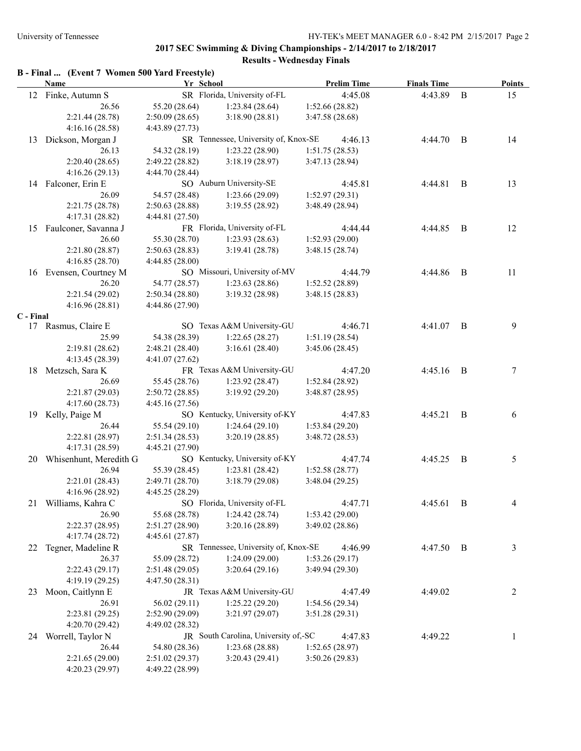# **B - Final ... (Event 7 Women 500 Yard Freestyle)**

|           | <b>Name</b>               | Yr School       |                                      | <b>Prelim Time</b> | <b>Finals Time</b> |          | <b>Points</b>  |
|-----------|---------------------------|-----------------|--------------------------------------|--------------------|--------------------|----------|----------------|
|           | 12 Finke, Autumn S        |                 | SR Florida, University of-FL         | 4:45.08            | 4:43.89            | $\bf{B}$ | 15             |
|           | 26.56                     | 55.20 (28.64)   | 1:23.84(28.64)                       | 1:52.66(28.82)     |                    |          |                |
|           | 2:21.44 (28.78)           | 2:50.09(28.65)  | 3:18.90(28.81)                       | 3:47.58(28.68)     |                    |          |                |
|           | 4:16.16(28.58)            | 4:43.89 (27.73) |                                      |                    |                    |          |                |
| 13        | Dickson, Morgan J         |                 | SR Tennessee, University of, Knox-SE | 4:46.13            | 4:44.70            | B        | 14             |
|           | 26.13                     | 54.32 (28.19)   | 1:23.22 (28.90)                      | 1:51.75(28.53)     |                    |          |                |
|           | 2:20.40(28.65)            | 2:49.22(28.82)  | 3:18.19(28.97)                       | 3:47.13 (28.94)    |                    |          |                |
|           | 4:16.26(29.13)            | 4:44.70 (28.44) |                                      |                    |                    |          |                |
|           | 14 Falconer, Erin E       |                 | SO Auburn University-SE              | 4:45.81            | 4:44.81            | B        | 13             |
|           | 26.09                     | 54.57 (28.48)   | 1:23.66(29.09)                       | 1:52.97(29.31)     |                    |          |                |
|           | 2:21.75 (28.78)           | 2:50.63(28.88)  | 3:19.55(28.92)                       | 3:48.49 (28.94)    |                    |          |                |
|           | 4:17.31(28.82)            | 4:44.81 (27.50) |                                      |                    |                    |          |                |
|           | 15 Faulconer, Savanna J   |                 | FR Florida, University of-FL         | 4:44.44            | 4:44.85            | B        | 12             |
|           | 26.60                     | 55.30 (28.70)   | 1:23.93(28.63)                       | 1:52.93(29.00)     |                    |          |                |
|           | 2:21.80(28.87)            | 2:50.63(28.83)  | 3:19.41(28.78)                       | 3:48.15(28.74)     |                    |          |                |
|           | 4:16.85 (28.70)           | 4:44.85(28.00)  |                                      |                    |                    |          |                |
|           | 16 Evensen, Courtney M    |                 | SO Missouri, University of-MV        | 4:44.79            | 4:44.86            | B        | 11             |
|           | 26.20                     | 54.77 (28.57)   | 1:23.63(28.86)                       | 1:52.52(28.89)     |                    |          |                |
|           | 2:21.54(29.02)            | 2:50.34(28.80)  | 3:19.32(28.98)                       | 3:48.15(28.83)     |                    |          |                |
|           | 4:16.96(28.81)            | 4:44.86 (27.90) |                                      |                    |                    |          |                |
| C - Final |                           |                 |                                      |                    |                    |          |                |
|           | 17 Rasmus, Claire E       |                 | SO Texas A&M University-GU           | 4:46.71            | 4:41.07            | B        | 9              |
|           | 25.99                     | 54.38 (28.39)   | 1:22.65(28.27)                       | 1:51.19(28.54)     |                    |          |                |
|           | 2:19.81(28.62)            | 2:48.21(28.40)  | 3:16.61(28.40)                       | 3:45.06(28.45)     |                    |          |                |
|           | 4:13.45 (28.39)           | 4:41.07(27.62)  |                                      |                    |                    |          |                |
|           | 18 Metzsch, Sara K        |                 | FR Texas A&M University-GU           | 4:47.20            | 4:45.16            | B        | 7              |
|           | 26.69                     | 55.45 (28.76)   | 1:23.92(28.47)                       | 1:52.84(28.92)     |                    |          |                |
|           | 2:21.87(29.03)            | 2:50.72(28.85)  | 3:19.92(29.20)                       | 3:48.87(28.95)     |                    |          |                |
|           | 4:17.60(28.73)            | 4:45.16(27.56)  |                                      |                    |                    |          |                |
|           | 19 Kelly, Paige M         |                 | SO Kentucky, University of-KY        | 4:47.83            | 4:45.21            | B        | 6              |
|           | 26.44                     | 55.54 (29.10)   | 1:24.64(29.10)                       | 1:53.84(29.20)     |                    |          |                |
|           | 2:22.81 (28.97)           | 2:51.34(28.53)  | 3:20.19(28.85)                       | 3:48.72(28.53)     |                    |          |                |
|           | 4:17.31 (28.59)           | 4:45.21 (27.90) |                                      |                    |                    |          |                |
|           | 20 Whisenhunt, Meredith G |                 | SO Kentucky, University of-KY        | 4:47.74            | 4:45.25            | B        | 5              |
|           | 26.94                     | 55.39 (28.45)   | 1:23.81(28.42)                       | 1:52.58(28.77)     |                    |          |                |
|           | 2:21.01(28.43)            | 2:49.71 (28.70) | 3:18.79(29.08)                       | 3:48.04(29.25)     |                    |          |                |
|           | 4:16.96(28.92)            | 4:45.25(28.29)  |                                      |                    |                    |          |                |
|           | 21 Williams, Kahra C      |                 | SO Florida, University of-FL         | 4:47.71            | 4:45.61 B          |          |                |
|           | 26.90                     | 55.68 (28.78)   | 1:24.42(28.74)                       | 1:53.42(29.00)     |                    |          |                |
|           | 2:22.37 (28.95)           | 2:51.27 (28.90) | 3:20.16(28.89)                       | 3:49.02(28.86)     |                    |          |                |
|           | 4:17.74(28.72)            | 4:45.61(27.87)  |                                      |                    |                    |          |                |
| 22        | Tegner, Madeline R        |                 | SR Tennessee, University of, Knox-SE | 4:46.99            | 4:47.50 B          |          | 3              |
|           | 26.37                     | 55.09 (28.72)   | 1:24.09(29.00)                       | 1:53.26(29.17)     |                    |          |                |
|           | 2:22.43(29.17)            | 2:51.48(29.05)  | 3:20.64(29.16)                       | 3:49.94 (29.30)    |                    |          |                |
|           | 4:19.19 (29.25)           | 4:47.50(28.31)  |                                      |                    |                    |          |                |
|           | 23 Moon, Caitlynn E       |                 | JR Texas A&M University-GU           | 4:47.49            | 4:49.02            |          | $\overline{c}$ |
|           | 26.91                     | 56.02 (29.11)   | 1:25.22(29.20)                       | 1:54.56(29.34)     |                    |          |                |
|           | 2:23.81 (29.25)           | 2:52.90(29.09)  | 3:21.97(29.07)                       | 3:51.28(29.31)     |                    |          |                |
|           | 4:20.70 (29.42)           | 4:49.02(28.32)  |                                      |                    |                    |          |                |
|           | 24 Worrell, Taylor N      |                 | JR South Carolina, University of,-SC | 4:47.83            | 4:49.22            |          | 1              |
|           | 26.44                     | 54.80 (28.36)   | 1:23.68(28.88)                       | 1:52.65(28.97)     |                    |          |                |
|           | 2:21.65(29.00)            | 2:51.02(29.37)  | 3:20.43(29.41)                       | 3:50.26(29.83)     |                    |          |                |
|           | 4:20.23 (29.97)           | 4:49.22 (28.99) |                                      |                    |                    |          |                |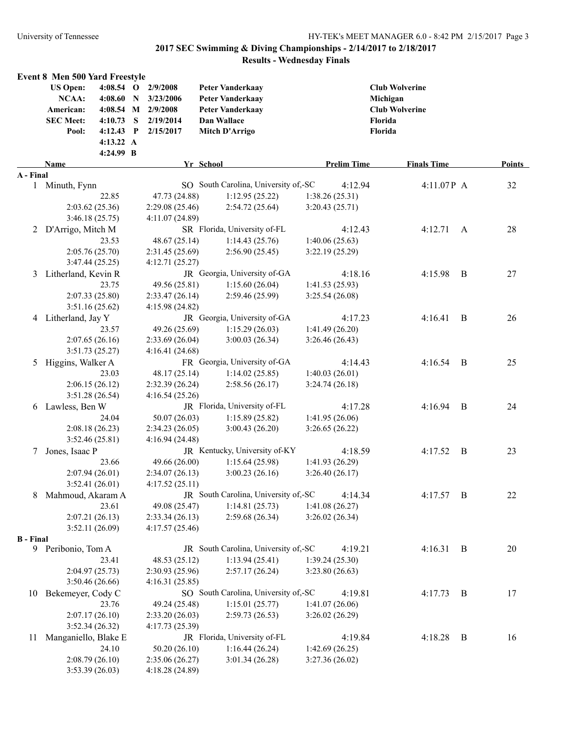| Event 8 Men 500 Yard Freestyle<br><b>US Open:</b><br>4:08.54 O 2/9/2008<br><b>Peter Vanderkaay</b>                                                                                                                                                                     |                                                                       |                |               |
|------------------------------------------------------------------------------------------------------------------------------------------------------------------------------------------------------------------------------------------------------------------------|-----------------------------------------------------------------------|----------------|---------------|
| NCAA:<br>4:08.60<br>3/23/2006<br><b>Peter Vanderkaay</b><br>$\mathbf N$<br>4:08.54 M 2/9/2008<br>American:<br><b>Peter Vanderkaay</b><br><b>SEC Meet:</b><br>$4:10.73$ S<br>2/19/2014<br>Dan Wallace<br>Florida<br>$4:12.43$ P<br>2/15/2017<br>Mitch D'Arrigo<br>Pool: | <b>Club Wolverine</b><br>Michigan<br><b>Club Wolverine</b><br>Florida |                |               |
| 4:13.22 A                                                                                                                                                                                                                                                              |                                                                       |                |               |
| 4:24.99 B                                                                                                                                                                                                                                                              |                                                                       |                |               |
| Name<br>Yr School<br><b>Prelim Time</b>                                                                                                                                                                                                                                | <b>Finals Time</b>                                                    |                | <b>Points</b> |
| A - Final                                                                                                                                                                                                                                                              |                                                                       |                |               |
| SO South Carolina, University of,-SC<br>Minuth, Fynn<br>4:12.94<br>$\mathbf{1}$                                                                                                                                                                                        | 4:11.07P A                                                            |                | 32            |
| 22.85<br>1:12.95(25.22)<br>1:38.26(25.31)<br>47.73 (24.88)                                                                                                                                                                                                             |                                                                       |                |               |
| 2:03.62(25.36)<br>2:54.72(25.64)<br>2:29.08(25.46)<br>3:20.43(25.71)<br>3:46.18(25.75)<br>4:11.07 (24.89)                                                                                                                                                              |                                                                       |                |               |
| SR Florida, University of-FL<br>2 D'Arrigo, Mitch M<br>4:12.43                                                                                                                                                                                                         | 4:12.71                                                               | A              | 28            |
| 23.53<br>48.67 (25.14)<br>1:14.43(25.76)<br>1:40.06(25.63)                                                                                                                                                                                                             |                                                                       |                |               |
| 2:05.76 (25.70)<br>2:31.45(25.69)<br>2:56.90(25.45)<br>3:22.19(25.29)                                                                                                                                                                                                  |                                                                       |                |               |
| 3:47.44(25.25)<br>4:12.71(25.27)                                                                                                                                                                                                                                       |                                                                       |                |               |
| JR Georgia, University of-GA<br>4:18.16<br>Litherland, Kevin R<br>3                                                                                                                                                                                                    | 4:15.98                                                               | B              | 27            |
| 23.75<br>49.56 (25.81)<br>1:15.60(26.04)<br>1:41.53(25.93)                                                                                                                                                                                                             |                                                                       |                |               |
| 2:07.33(25.80)<br>2:59.46 (25.99)<br>2:33.47(26.14)<br>3:25.54(26.08)                                                                                                                                                                                                  |                                                                       |                |               |
| 3:51.16(25.62)<br>4:15.98(24.82)                                                                                                                                                                                                                                       |                                                                       |                |               |
| JR Georgia, University of-GA<br>4 Litherland, Jay Y<br>4:17.23                                                                                                                                                                                                         | 4:16.41                                                               | B              | 26            |
| 23.57<br>49.26 (25.69)<br>1:15.29(26.03)<br>1:41.49(26.20)                                                                                                                                                                                                             |                                                                       |                |               |
| 2:07.65(26.16)<br>2:33.69(26.04)<br>3:00.03(26.34)<br>3:26.46(26.43)                                                                                                                                                                                                   |                                                                       |                |               |
| 3:51.73(25.27)<br>4:16.41(24.68)                                                                                                                                                                                                                                       |                                                                       |                |               |
| Higgins, Walker A<br>FR Georgia, University of-GA<br>4:14.43<br>5                                                                                                                                                                                                      | 4:16.54                                                               | <sup>B</sup>   | 25            |
| 23.03<br>48.17 (25.14)<br>1:14.02(25.85)<br>1:40.03(26.01)                                                                                                                                                                                                             |                                                                       |                |               |
| 2:06.15(26.12)<br>2:58.56(26.17)<br>2:32.39(26.24)<br>3:24.74(26.18)                                                                                                                                                                                                   |                                                                       |                |               |
| 3:51.28(26.54)<br>4:16.54(25.26)                                                                                                                                                                                                                                       |                                                                       |                |               |
| JR Florida, University of-FL<br>6 Lawless, Ben W<br>4:17.28                                                                                                                                                                                                            | 4:16.94                                                               | $\overline{B}$ | 24            |
| 24.04<br>50.07(26.03)<br>1:15.89(25.82)<br>1:41.95(26.06)                                                                                                                                                                                                              |                                                                       |                |               |
| 2:08.18(26.23)<br>2:34.23(26.05)<br>3:00.43(26.20)<br>3:26.65(26.22)                                                                                                                                                                                                   |                                                                       |                |               |
| 3:52.46(25.81)<br>4:16.94(24.48)                                                                                                                                                                                                                                       |                                                                       |                |               |
| JR Kentucky, University of-KY<br>4:18.59<br>Jones, Isaac P<br>7                                                                                                                                                                                                        | 4:17.52                                                               | $\overline{B}$ | 23            |
| 1:15.64(25.98)<br>23.66<br>49.66 (26.00)<br>1:41.93 (26.29)                                                                                                                                                                                                            |                                                                       |                |               |
| 2:07.94(26.01)<br>2:34.07(26.13)<br>3:00.23(26.16)<br>3:26.40(26.17)                                                                                                                                                                                                   |                                                                       |                |               |
| 3:52.41(26.01)<br>4:17.52(25.11)                                                                                                                                                                                                                                       |                                                                       |                |               |
| 8 Mahmoud, Akaram A<br>JR South Carolina, University of,-SC<br>4:14.34                                                                                                                                                                                                 | $4:17.57$ B                                                           |                | 22            |
| 23.61<br>1:14.81(25.73)<br>49.08 (25.47)<br>1:41.08(26.27)                                                                                                                                                                                                             |                                                                       |                |               |
| 2:07.21(26.13)<br>2:33.34(26.13)<br>2:59.68(26.34)<br>3:26.02(26.34)                                                                                                                                                                                                   |                                                                       |                |               |
| 3:52.11(26.09)<br>4:17.57(25.46)                                                                                                                                                                                                                                       |                                                                       |                |               |
| <b>B</b> - Final<br>JR South Carolina, University of,-SC                                                                                                                                                                                                               |                                                                       |                |               |
| 9 Peribonio, Tom A<br>4:19.21<br>48.53 (25.12)<br>23.41<br>1:13.94(25.41)                                                                                                                                                                                              | $4:16.31$ B                                                           |                | 20            |
| 1:39.24(25.30)<br>2:04.97(25.73)<br>2:30.93(25.96)<br>2:57.17(26.24)<br>3:23.80(26.63)                                                                                                                                                                                 |                                                                       |                |               |
| 3:50.46(26.66)<br>4:16.31(25.85)                                                                                                                                                                                                                                       |                                                                       |                |               |
| SO South Carolina, University of,-SC<br>Bekemeyer, Cody C<br>4:19.81<br>10                                                                                                                                                                                             | $4:17.73$ B                                                           |                | 17            |
| 23.76<br>49.24 (25.48)<br>1:15.01(25.77)<br>1:41.07(26.06)                                                                                                                                                                                                             |                                                                       |                |               |
| 2:07.17(26.10)<br>2:59.73(26.53)<br>3:26.02(26.29)<br>2:33.20(26.03)                                                                                                                                                                                                   |                                                                       |                |               |
| 3:52.34(26.32)<br>4:17.73(25.39)                                                                                                                                                                                                                                       |                                                                       |                |               |
| JR Florida, University of-FL<br>Manganiello, Blake E<br>4:19.84<br>11                                                                                                                                                                                                  | 4:18.28                                                               | $\overline{B}$ | 16            |
| 24.10<br>50.20(26.10)<br>1:16.44(26.24)<br>1:42.69(26.25)                                                                                                                                                                                                              |                                                                       |                |               |
| 2:08.79(26.10)<br>3:01.34(26.28)<br>3:27.36(26.02)<br>2:35.06(26.27)                                                                                                                                                                                                   |                                                                       |                |               |
| 3:53.39(26.03)<br>4:18.28(24.89)                                                                                                                                                                                                                                       |                                                                       |                |               |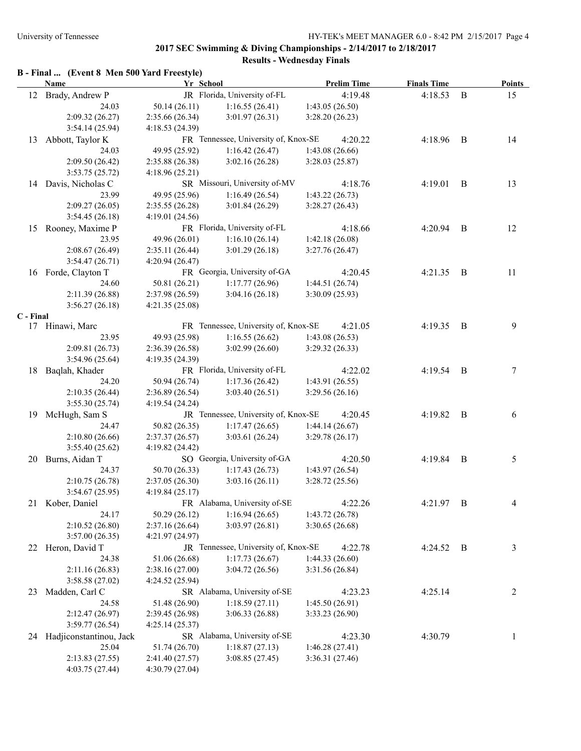# **B - Final ... (Event 8 Men 500 Yard Freestyle)**

|           | <b>Name</b>                | Yr School       |                                      | <b>Prelim Time</b> | <b>Finals Time</b> |                | <b>Points</b> |
|-----------|----------------------------|-----------------|--------------------------------------|--------------------|--------------------|----------------|---------------|
|           | 12 Brady, Andrew P         |                 | JR Florida, University of-FL         | 4:19.48            | 4:18.53            | B              | 15            |
|           | 24.03                      | 50.14(26.11)    | 1:16.55(26.41)                       | 1:43.05(26.50)     |                    |                |               |
|           | 2:09.32(26.27)             | 2:35.66(26.34)  | 3:01.97(26.31)                       | 3:28.20(26.23)     |                    |                |               |
|           | 3:54.14(25.94)             | 4:18.53(24.39)  |                                      |                    |                    |                |               |
| 13        | Abbott, Taylor K           |                 | FR Tennessee, University of, Knox-SE | 4:20.22            | 4:18.96            | $\overline{B}$ | 14            |
|           | 24.03                      | 49.95 (25.92)   | 1:16.42(26.47)                       | 1:43.08(26.66)     |                    |                |               |
|           | 2:09.50(26.42)             | 2:35.88(26.38)  | 3:02.16(26.28)                       | 3:28.03(25.87)     |                    |                |               |
|           | 3:53.75(25.72)             | 4:18.96(25.21)  |                                      |                    |                    |                |               |
|           | 14 Davis, Nicholas C       |                 | SR Missouri, University of-MV        | 4:18.76            | 4:19.01            | B              | 13            |
|           | 23.99                      | 49.95 (25.96)   | 1:16.49(26.54)                       | 1:43.22(26.73)     |                    |                |               |
|           | 2:09.27(26.05)             | 2:35.55(26.28)  | 3:01.84(26.29)                       | 3:28.27(26.43)     |                    |                |               |
|           | 3:54.45(26.18)             | 4:19.01 (24.56) |                                      |                    |                    |                |               |
|           | 15 Rooney, Maxime P        |                 | FR Florida, University of-FL         | 4:18.66            | 4:20.94            | $\overline{B}$ | 12            |
|           | 23.95                      | 49.96 (26.01)   | 1:16.10(26.14)                       | 1:42.18(26.08)     |                    |                |               |
|           | 2:08.67(26.49)             | 2:35.11(26.44)  | 3:01.29(26.18)                       | 3:27.76(26.47)     |                    |                |               |
|           | 3:54.47(26.71)             |                 |                                      |                    |                    |                |               |
|           |                            | 4:20.94(26.47)  | FR Georgia, University of-GA         |                    |                    |                |               |
|           | 16 Forde, Clayton T        |                 |                                      | 4:20.45            | 4:21.35            | $\overline{B}$ | 11            |
|           | 24.60                      | 50.81 (26.21)   | 1:17.77(26.96)                       | 1:44.51(26.74)     |                    |                |               |
|           | 2:11.39 (26.88)            | 2:37.98(26.59)  | 3:04.16(26.18)                       | 3:30.09 (25.93)    |                    |                |               |
|           | 3:56.27(26.18)             | 4:21.35(25.08)  |                                      |                    |                    |                |               |
| C - Final |                            |                 | FR Tennessee, University of, Knox-SE |                    |                    |                |               |
|           | 17 Hinawi, Marc            |                 |                                      | 4:21.05            | 4:19.35            | B              | 9             |
|           | 23.95                      | 49.93 (25.98)   | 1:16.55(26.62)                       | 1:43.08(26.53)     |                    |                |               |
|           | 2:09.81(26.73)             | 2:36.39(26.58)  | 3:02.99(26.60)                       | 3:29.32(26.33)     |                    |                |               |
|           | 3:54.96(25.64)             | 4:19.35 (24.39) |                                      |                    |                    |                |               |
|           | 18 Baqlah, Khader          |                 | FR Florida, University of-FL         | 4:22.02            | 4:19.54            | $\overline{B}$ | 7             |
|           | 24.20                      | 50.94 (26.74)   | 1:17.36(26.42)                       | 1:43.91(26.55)     |                    |                |               |
|           | 2:10.35(26.44)             | 2:36.89(26.54)  | 3:03.40(26.51)                       | 3:29.56(26.16)     |                    |                |               |
|           | 3:55.30(25.74)             | 4:19.54 (24.24) |                                      |                    |                    |                |               |
|           | 19 McHugh, Sam S           |                 | JR Tennessee, University of, Knox-SE | 4:20.45            | 4:19.82            | $\overline{B}$ | 6             |
|           | 24.47                      | 50.82 (26.35)   | 1:17.47(26.65)                       | 1:44.14(26.67)     |                    |                |               |
|           | 2:10.80(26.66)             | 2:37.37 (26.57) | 3:03.61(26.24)                       | 3:29.78(26.17)     |                    |                |               |
|           | 3:55.40(25.62)             | 4:19.82 (24.42) |                                      |                    |                    |                |               |
|           | 20 Burns, Aidan T          |                 | SO Georgia, University of-GA         | 4:20.50            | 4:19.84            | $\overline{B}$ | 5             |
|           | 24.37                      | 50.70 (26.33)   | 1:17.43(26.73)                       | 1:43.97(26.54)     |                    |                |               |
|           | 2:10.75(26.78)             | 2:37.05(26.30)  | 3:03.16(26.11)                       | 3:28.72(25.56)     |                    |                |               |
|           | 3:54.67(25.95)             | 4:19.84(25.17)  |                                      |                    |                    |                |               |
|           | 21 Kober, Daniel           |                 | FR Alabama, University of-SE         | 4:22.26            | $4:21.97$ B        |                | 4             |
|           | 24.17                      | 50.29 (26.12)   | 1:16.94(26.65)                       | 1:43.72(26.78)     |                    |                |               |
|           | 2:10.52(26.80)             | 2:37.16(26.64)  | 3:03.97(26.81)                       | 3:30.65(26.68)     |                    |                |               |
|           | 3:57.00(26.35)             | 4:21.97(24.97)  |                                      |                    |                    |                |               |
|           | 22 Heron, David T          |                 | JR Tennessee, University of, Knox-SE | 4:22.78            | 4:24.52 B          |                | 3             |
|           | 24.38                      | 51.06 (26.68)   | 1:17.73(26.67)                       | 1:44.33(26.60)     |                    |                |               |
|           | 2:11.16(26.83)             | 2:38.16 (27.00) | 3:04.72(26.56)                       | 3:31.56 (26.84)    |                    |                |               |
|           | 3:58.58(27.02)             | 4:24.52(25.94)  |                                      |                    |                    |                |               |
| 23        | Madden, Carl C             |                 | SR Alabama, University of-SE         | 4:23.23            | 4:25.14            |                | 2             |
|           | 24.58                      | 51.48 (26.90)   | 1:18.59(27.11)                       | 1:45.50(26.91)     |                    |                |               |
|           | 2:12.47(26.97)             | 2:39.45 (26.98) | 3:06.33(26.88)                       | 3:33.23 (26.90)    |                    |                |               |
|           | 3:59.77(26.54)             | 4:25.14 (25.37) |                                      |                    |                    |                |               |
|           | 24 Hadjiconstantinou, Jack |                 | SR Alabama, University of-SE         | 4:23.30            | 4:30.79            |                | 1             |
|           | 25.04                      | 51.74 (26.70)   | 1:18.87(27.13)                       | 1:46.28(27.41)     |                    |                |               |
|           | 2:13.83(27.55)             | 2:41.40 (27.57) | 3:08.85(27.45)                       | 3:36.31 (27.46)    |                    |                |               |
|           | 4:03.75 (27.44)            | 4:30.79 (27.04) |                                      |                    |                    |                |               |
|           |                            |                 |                                      |                    |                    |                |               |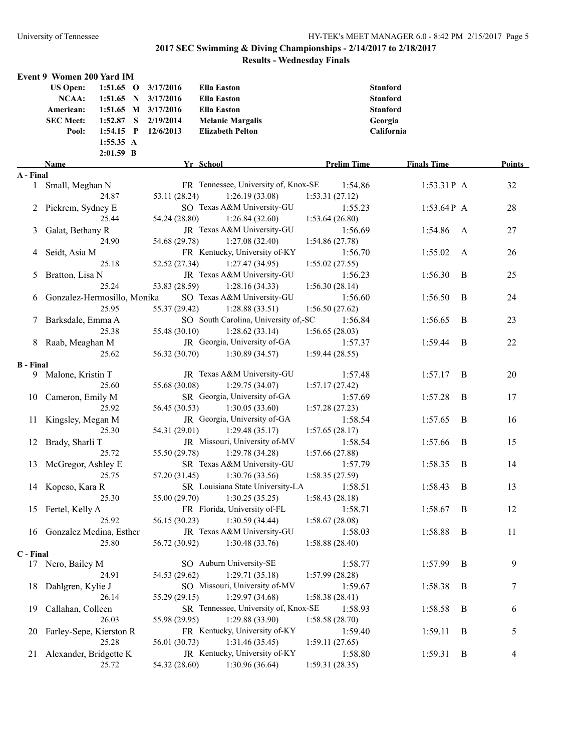|                  | <b>Event 9 Women 200 Yard IM</b> |             |   |                     |                                               |                    |                    |   |               |
|------------------|----------------------------------|-------------|---|---------------------|-----------------------------------------------|--------------------|--------------------|---|---------------|
|                  | <b>US Open:</b>                  | $1:51.65$ O |   | 3/17/2016           | <b>Ella Easton</b>                            |                    | <b>Stanford</b>    |   |               |
|                  | <b>NCAA:</b>                     | 1:51.65     | N | 3/17/2016           | <b>Ella Easton</b>                            |                    | <b>Stanford</b>    |   |               |
|                  | American:                        |             |   | 1:51.65 M 3/17/2016 | <b>Ella Easton</b>                            |                    | <b>Stanford</b>    |   |               |
|                  | <b>SEC Meet:</b>                 | 1:52.87     | S | 2/19/2014           | <b>Melanie Margalis</b>                       |                    | Georgia            |   |               |
|                  | Pool:                            | $1:54.15$ P |   | 12/6/2013           | <b>Elizabeth Pelton</b>                       |                    | California         |   |               |
|                  |                                  | 1:55.35 A   |   |                     |                                               |                    |                    |   |               |
|                  |                                  | $2:01.59$ B |   |                     |                                               |                    |                    |   |               |
|                  | Name                             |             |   |                     | Yr School                                     | <b>Prelim Time</b> | <b>Finals Time</b> |   | <b>Points</b> |
| A - Final        |                                  |             |   |                     |                                               |                    |                    |   |               |
| $\mathbf{1}$     | Small, Meghan N                  |             |   |                     | FR Tennessee, University of, Knox-SE          | 1:54.86            | $1:53.31P$ A       |   | 32            |
|                  |                                  | 24.87       |   | 53.11 (28.24)       | 1:26.19(33.08)                                | 1:53.31(27.12)     |                    |   |               |
| 2                | Pickrem, Sydney E                |             |   |                     | SO Texas A&M University-GU                    | 1:55.23            | $1:53.64P$ A       |   | 28            |
|                  |                                  | 25.44       |   | 54.24 (28.80)       | 1:26.84(32.60)                                | 1:53.64(26.80)     |                    |   |               |
| 3                | Galat, Bethany R                 |             |   |                     | JR Texas A&M University-GU                    | 1:56.69            | 1:54.86            | A | $27\,$        |
|                  |                                  | 24.90       |   | 54.68 (29.78)       | 1:27.08(32.40)                                | 1:54.86(27.78)     |                    |   |               |
| 4                | Seidt, Asia M                    |             |   |                     | FR Kentucky, University of-KY                 | 1:56.70            | 1:55.02            | A | 26            |
|                  |                                  | 25.18       |   | 52.52 (27.34)       | 1:27.47(34.95)                                | 1:55.02(27.55)     |                    |   |               |
| 5                | Bratton, Lisa N                  |             |   |                     | JR Texas A&M University-GU                    | 1:56.23            | 1:56.30            | B | 25            |
|                  |                                  | 25.24       |   | 53.83 (28.59)       | 1:28.16(34.33)                                | 1:56.30(28.14)     |                    |   |               |
|                  | 6 Gonzalez-Hermosillo, Monika    |             |   |                     | SO Texas A&M University-GU                    | 1:56.60            | 1:56.50            | B | 24            |
|                  |                                  | 25.95       |   | 55.37 (29.42)       | 1:28.88(33.51)                                | 1:56.50(27.62)     |                    |   |               |
|                  | Barksdale, Emma A                |             |   |                     | SO South Carolina, University of,-SC          | 1:56.84            | 1:56.65            | B | 23            |
|                  |                                  | 25.38       |   | 55.48 (30.10)       | 1:28.62(33.14)                                | 1:56.65(28.03)     |                    |   |               |
|                  | 8 Raab, Meaghan M                |             |   |                     | JR Georgia, University of-GA                  | 1:57.37            | 1:59.44            | B | 22            |
|                  |                                  | 25.62       |   | 56.32 (30.70)       | 1:30.89(34.57)                                | 1:59.44(28.55)     |                    |   |               |
| <b>B</b> - Final |                                  |             |   |                     |                                               |                    |                    |   |               |
| 9.               | Malone, Kristin T                |             |   |                     | JR Texas A&M University-GU                    | 1:57.48            | 1:57.17            | B | 20            |
|                  |                                  | 25.60       |   | 55.68 (30.08)       | 1:29.75(34.07)                                | 1:57.17(27.42)     |                    |   |               |
| 10               | Cameron, Emily M                 |             |   |                     | SR Georgia, University of-GA                  | 1:57.69            | 1:57.28            | B | 17            |
|                  |                                  | 25.92       |   | 56.45 (30.53)       | 1:30.05(33.60)                                | 1:57.28(27.23)     |                    |   |               |
| 11               | Kingsley, Megan M                |             |   |                     | JR Georgia, University of-GA                  | 1:58.54            | 1:57.65            | B | 16            |
|                  |                                  | 25.30       |   | 54.31 (29.01)       | 1:29.48(35.17)                                | 1:57.65(28.17)     |                    |   |               |
| 12               | Brady, Sharli T                  |             |   |                     | JR Missouri, University of-MV                 | 1:58.54            | 1:57.66            | B | 15            |
|                  |                                  | 25.72       |   | 55.50 (29.78)       | 1:29.78(34.28)                                | 1:57.66(27.88)     |                    |   |               |
| 13               | McGregor, Ashley E               |             |   |                     | SR Texas A&M University-GU                    | 1:57.79            | 1:58.35            | B | 14            |
|                  |                                  | 25.75       |   | 57.20 (31.45)       | 1:30.76(33.56)                                | 1:58.35(27.59)     |                    |   |               |
|                  | 14 Kopcso, Kara R                |             |   |                     | SR Louisiana State University-LA              | 1:58.51            | 1:58.43            | B | 13            |
|                  |                                  | 25.30       |   |                     | 55.00 (29.70) 1:30.25 (35.25) 1:58.43 (28.18) |                    |                    |   |               |
|                  | 15 Fertel, Kelly A               |             |   |                     | FR Florida, University of-FL                  | 1:58.71            | 1:58.67            | B | 12            |
|                  |                                  | 25.92       |   | 56.15 (30.23)       | 1:30.59(34.44)                                | 1:58.67(28.08)     |                    |   |               |
|                  | 16 Gonzalez Medina, Esther       |             |   |                     | JR Texas A&M University-GU                    | 1:58.03            | 1:58.88            | B | 11            |
|                  |                                  | 25.80       |   | 56.72 (30.92)       | 1:30.48(33.76)                                | 1:58.88(28.40)     |                    |   |               |
| C - Final        |                                  |             |   |                     |                                               |                    |                    |   |               |
|                  | 17 Nero, Bailey M                |             |   |                     | SO Auburn University-SE                       | 1:58.77            | 1:57.99            | B | 9             |
|                  |                                  | 24.91       |   | 54.53 (29.62)       | 1:29.71(35.18)                                | 1:57.99(28.28)     |                    |   |               |
| 18               | Dahlgren, Kylie J                |             |   |                     | SO Missouri, University of-MV                 | 1:59.67            | 1:58.38            | B | 7             |
|                  |                                  | 26.14       |   | 55.29 (29.15)       | 1:29.97(34.68)                                | 1:58.38 (28.41)    |                    |   |               |
| 19               | Callahan, Colleen                |             |   |                     | SR Tennessee, University of, Knox-SE          | 1:58.93            | 1:58.58            | B | 6             |
|                  |                                  | 26.03       |   | 55.98 (29.95)       | 1:29.88 (33.90)                               | 1:58.58 (28.70)    |                    |   |               |
| 20               | Farley-Sepe, Kierston R          |             |   |                     | FR Kentucky, University of-KY                 | 1:59.40            | 1:59.11            | B | 5             |
|                  |                                  | 25.28       |   | 56.01 (30.73)       | 1:31.46(35.45)                                | 1:59.11(27.65)     |                    |   |               |
| 21.              | Alexander, Bridgette K           |             |   |                     | JR Kentucky, University of-KY                 | 1:58.80            | 1:59.31            | B | 4             |
|                  |                                  | 25.72       |   | 54.32 (28.60)       | 1:30.96(36.64)                                | 1:59.31(28.35)     |                    |   |               |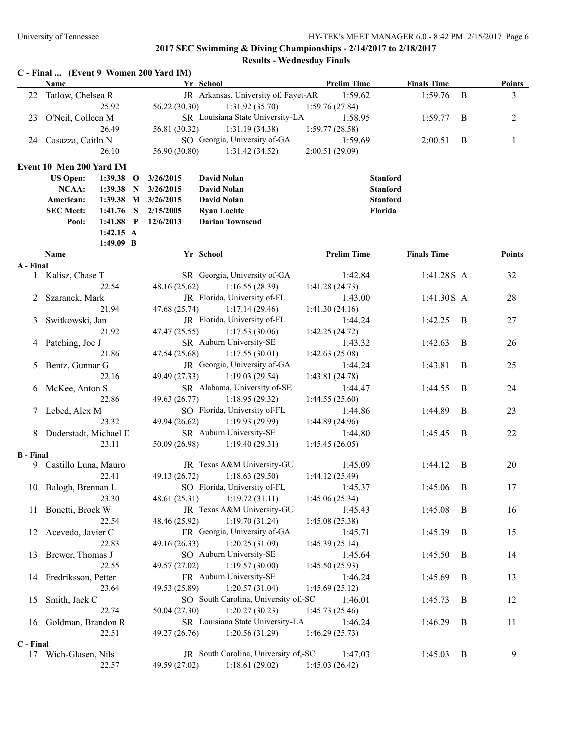|                  | Name                     |             |              |                     | Yr School                            | <b>Prelim Time</b> | <b>Finals Time</b> |              | <b>Points</b> |
|------------------|--------------------------|-------------|--------------|---------------------|--------------------------------------|--------------------|--------------------|--------------|---------------|
| 22               | Tatlow, Chelsea R        |             |              |                     | JR Arkansas, University of, Fayet-AR | 1:59.62            | 1:59.76            | $\mathbf{B}$ | 3             |
|                  |                          | 25.92       |              | 56.22 (30.30)       | 1:31.92(35.70)                       | 1:59.76(27.84)     |                    |              |               |
| 23               | O'Neil, Colleen M        |             |              |                     | SR Louisiana State University-LA     | 1:58.95            | 1:59.77            | B            | 2             |
|                  |                          | 26.49       |              | 56.81 (30.32)       | 1:31.19(34.38)                       | 1:59.77(28.58)     |                    |              |               |
| 24               | Casazza, Caitln N        |             |              |                     | SO Georgia, University of-GA         | 1:59.69            | 2:00.51            | $\mathbf B$  | 1             |
|                  |                          | 26.10       |              | 56.90 (30.80)       | 1:31.42(34.52)                       | 2:00.51 (29.09)    |                    |              |               |
|                  | Event 10 Men 200 Yard IM |             |              |                     |                                      |                    |                    |              |               |
|                  | <b>US Open:</b>          | $1:39.38$ O |              | 3/26/2015           | <b>David Nolan</b>                   |                    | <b>Stanford</b>    |              |               |
|                  | NCAA:                    | 1:39.38     | $\mathbf N$  | 3/26/2015           | <b>David Nolan</b>                   |                    | <b>Stanford</b>    |              |               |
|                  | American:                |             |              | 1:39.38 M 3/26/2015 | <b>David Nolan</b>                   |                    | <b>Stanford</b>    |              |               |
|                  | <b>SEC Meet:</b>         | 1:41.76     | S            | 2/15/2005           | <b>Ryan Lochte</b>                   | Florida            |                    |              |               |
|                  | Pool:                    | 1:41.88     | $\mathbf{P}$ | 12/6/2013           | <b>Darian Townsend</b>               |                    |                    |              |               |
|                  |                          | 1:42.15 A   |              |                     |                                      |                    |                    |              |               |
|                  |                          | $1:49.09$ B |              |                     |                                      |                    |                    |              |               |
|                  | Name                     |             |              |                     | Yr School                            | <b>Prelim Time</b> | <b>Finals Time</b> |              | Points        |
| A - Final        |                          |             |              |                     |                                      |                    |                    |              |               |
| $\mathbf{1}$     | Kalisz, Chase T          |             |              |                     | SR Georgia, University of-GA         | 1:42.84            | 1:41.28S A         |              | 32            |
|                  |                          | 22.54       |              | 48.16 (25.62)       | 1:16.55(28.39)                       | 1:41.28(24.73)     |                    |              |               |
| 2                | Szaranek, Mark           |             |              |                     | JR Florida, University of-FL         | 1:43.00            | 1:41.30S A         |              | 28            |
|                  |                          | 21.94       |              | 47.68 (25.74)       | 1:17.14(29.46)                       | 1:41.30(24.16)     |                    |              |               |
| 3                | Switkowski, Jan          |             |              |                     | JR Florida, University of-FL         | 1:44.24            | 1:42.25            | B            | 27            |
|                  |                          | 21.92       |              | 47.47 (25.55)       | 1:17.53(30.06)                       | 1:42.25(24.72)     |                    |              |               |
| 4                | Patching, Joe J          |             |              |                     | SR Auburn University-SE              | 1:43.32            | 1:42.63            | $\mathbf{B}$ | 26            |
|                  |                          | 21.86       |              | 47.54 (25.68)       | 1:17.55(30.01)                       | 1:42.63(25.08)     |                    |              |               |
| 5                | Bentz, Gunnar G          |             |              |                     | JR Georgia, University of-GA         | 1:44.24            | 1:43.81            | $\bf{B}$     | 25            |
|                  |                          | 22.16       |              | 49.49 (27.33)       | 1:19.03(29.54)                       | 1:43.81(24.78)     |                    |              |               |
| 6                | McKee, Anton S           |             |              |                     | SR Alabama, University of-SE         | 1:44.47            | 1:44.55            | B            | 24            |
|                  |                          | 22.86       |              | 49.63 (26.77)       | 1:18.95(29.32)                       | 1:44.55(25.60)     |                    |              |               |
| 7                | Lebed, Alex M            |             |              |                     | SO Florida, University of-FL         | 1:44.86            | 1:44.89            | B            | 23            |
|                  |                          | 23.32       |              | 49.94 (26.62)       | 1:19.93(29.99)                       | 1:44.89(24.96)     |                    |              |               |
| 8                | Duderstadt, Michael E    |             |              |                     | SR Auburn University-SE              | 1:44.80            | 1:45.45            | B            | 22            |
|                  |                          | 23.11       |              | 50.09 (26.98)       | 1:19.40(29.31)                       | 1:45.45(26.05)     |                    |              |               |
| <b>B</b> - Final |                          |             |              |                     |                                      |                    |                    |              |               |
|                  | 9 Castillo Luna, Mauro   |             |              |                     | JR Texas A&M University-GU           | 1:45.09            | 1:44.12            | B            | 20            |
|                  |                          | 22.41       |              | 49.13 (26.72)       | 1:18.63(29.50)                       | 1:44.12(25.49)     |                    |              |               |
|                  | 10 Balogh, Brennan L     |             |              |                     | SO Florida, University of-FL         | 1:45.37            | 1:45.06            | B            | 17            |
|                  |                          | 23.30       |              | 48.61 (25.31)       | 1:19.72(31.11)                       | 1:45.06 (25.34)    |                    |              |               |
| 11               | Bonetti, Brock W         |             |              |                     | JR Texas A&M University-GU           | 1:45.43            | 1:45.08            | B            | 16            |
|                  |                          | 22.54       |              | 48.46 (25.92)       | 1:19.70(31.24)                       | 1:45.08(25.38)     |                    |              |               |
|                  | 12 Acevedo, Javier C     |             |              |                     | FR Georgia, University of-GA         | 1:45.71            | 1:45.39            | B            | 15            |
|                  |                          | 22.83       |              | 49.16 (26.33)       | 1:20.25(31.09)                       | 1:45.39(25.14)     |                    |              |               |
| 13               | Brewer, Thomas J         |             |              |                     | SO Auburn University-SE              | 1:45.64            | 1:45.50            | B            | 14            |
|                  |                          | 22.55       |              | 49.57 (27.02)       | 1:19.57(30.00)                       | 1:45.50(25.93)     |                    |              |               |
| 14               | Fredriksson, Petter      |             |              |                     | FR Auburn University-SE              | 1:46.24            | 1:45.69            | B            | 13            |
|                  |                          | 23.64       |              | 49.53 (25.89)       | 1:20.57(31.04)                       | 1:45.69(25.12)     |                    |              |               |
| 15               | Smith, Jack C            |             |              |                     | SO South Carolina, University of,-SC | 1:46.01            | 1:45.73            | B            | 12            |
|                  |                          | 22.74       |              | 50.04 (27.30)       | 1:20.27(30.23)                       | 1:45.73(25.46)     |                    |              |               |
| 16               | Goldman, Brandon R       |             |              |                     | SR Louisiana State University-LA     | 1:46.24            | 1:46.29            | B            | 11            |
|                  |                          | 22.51       |              | 49.27 (26.76)       | 1:20.56(31.29)                       | 1:46.29(25.73)     |                    |              |               |
| C - Final        |                          |             |              |                     |                                      |                    |                    |              |               |
|                  | 17 Wich-Glasen, Nils     |             |              |                     | JR South Carolina, University of,-SC | 1:47.03            | 1:45.03            | B            | 9             |
|                  |                          | 22.57       |              | 49.59 (27.02)       | 1:18.61(29.02)                       | 1:45.03(26.42)     |                    |              |               |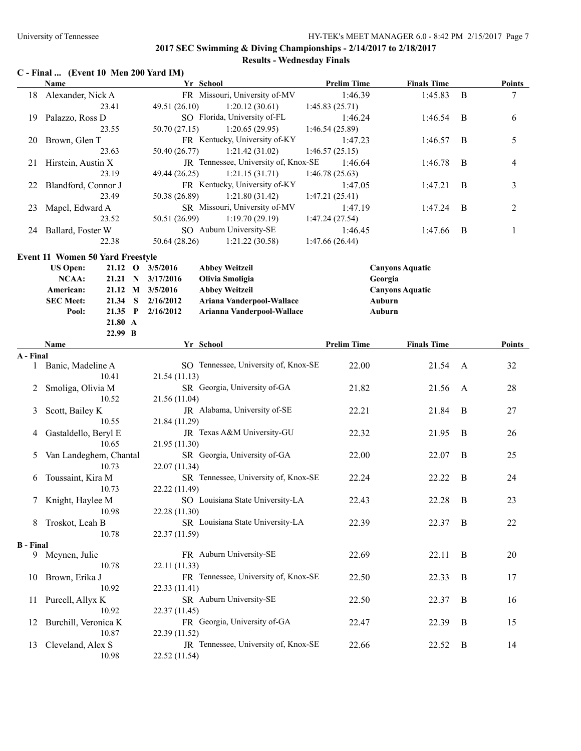# **C - Final ... (Event 10 Men 200 Yard IM)**

|                  | Name                                    | Yr School                                         | <b>Prelim Time</b> | <b>Finals Time</b>     |              | <b>Points</b>  |
|------------------|-----------------------------------------|---------------------------------------------------|--------------------|------------------------|--------------|----------------|
|                  | 18 Alexander, Nick A                    | FR Missouri, University of-MV                     | 1:46.39            | 1:45.83                | B            | 7              |
|                  | 23.41                                   | 49.51 (26.10)<br>1:20.12(30.61)                   | 1:45.83(25.71)     |                        |              |                |
| 19               | Palazzo, Ross D                         | SO Florida, University of-FL                      | 1:46.24            | 1:46.54                | B            | 6              |
|                  | 23.55                                   | 50.70 (27.15)<br>1:20.65(29.95)                   | 1:46.54 (25.89)    |                        |              |                |
| 20               | Brown, Glen T                           | FR Kentucky, University of-KY                     | 1:47.23            | 1:46.57                | B            | 5              |
|                  | 23.63                                   | 50.40 (26.77)<br>1:21.42(31.02)                   | 1:46.57(25.15)     |                        |              |                |
| 21               | Hirstein, Austin X                      | JR Tennessee, University of, Knox-SE              | 1:46.64            | 1:46.78                | B            | 4              |
|                  | 23.19                                   | 49.44 (26.25)<br>1:21.15(31.71)                   | 1:46.78(25.63)     |                        |              |                |
| 22               | Blandford, Connor J                     | FR Kentucky, University of-KY                     | 1:47.05            | 1:47.21                | B            | 3              |
|                  | 23.49                                   | 50.38 (26.89)<br>1:21.80(31.42)                   | 1:47.21(25.41)     |                        |              |                |
| 23               | Mapel, Edward A                         | SR Missouri, University of-MV                     | 1:47.19            | 1:47.24                | B            | $\overline{c}$ |
|                  | 23.52                                   | 50.51 (26.99)<br>1:19.70(29.19)                   | 1:47.24(27.54)     |                        |              |                |
| 24               | Ballard, Foster W                       | SO Auburn University-SE                           | 1:46.45            | 1:47.66                | B            | 1              |
|                  | 22.38                                   | 50.64 (28.26)<br>1:21.22(30.58)                   | 1:47.66(26.44)     |                        |              |                |
|                  | <b>Event 11 Women 50 Yard Freestyle</b> |                                                   |                    |                        |              |                |
|                  | <b>US Open:</b><br>$21.12 \quad O$      | 3/5/2016<br><b>Abbey Weitzeil</b>                 |                    | <b>Canyons Aquatic</b> |              |                |
|                  | NCAA:<br>21.21 N                        | 3/17/2016<br>Olivia Smoligia                      |                    | Georgia                |              |                |
|                  | American:                               | 21.12 M 3/5/2016<br><b>Abbey Weitzeil</b>         |                    | <b>Canyons Aquatic</b> |              |                |
|                  | <b>SEC Meet:</b><br>21.34 S             | Ariana Vanderpool-Wallace<br>2/16/2012            |                    | Auburn                 |              |                |
|                  | Pool:<br>21.35 P                        | 2/16/2012<br>Arianna Vanderpool-Wallace           |                    | Auburn                 |              |                |
|                  | 21.80 A                                 |                                                   |                    |                        |              |                |
|                  | 22.99 B                                 |                                                   |                    |                        |              |                |
|                  | Name                                    | Yr School                                         | <b>Prelim Time</b> | <b>Finals Time</b>     |              | <b>Points</b>  |
| A - Final        |                                         |                                                   |                    |                        |              |                |
| $\mathbf{1}$     | Banic, Madeline A                       | SO Tennessee, University of, Knox-SE              | 22.00              | 21.54                  | A            | 32             |
|                  | 10.41                                   | 21.54 (11.13)                                     |                    |                        |              |                |
| 2                | Smoliga, Olivia M                       | SR Georgia, University of-GA                      | 21.82              | 21.56                  | A            | 28             |
|                  | 10.52                                   | 21.56 (11.04)                                     |                    |                        |              |                |
| 3                | Scott, Bailey K                         | JR Alabama, University of-SE                      | 22.21              | 21.84                  | B            | 27             |
|                  | 10.55                                   | 21.84 (11.29)                                     |                    |                        |              |                |
| 4                | Gastaldello, Beryl E                    | JR Texas A&M University-GU                        | 22.32              | 21.95                  | $\mathbf{B}$ | 26             |
|                  | 10.65                                   | 21.95 (11.30)                                     |                    |                        |              |                |
| 5                | Van Landeghem, Chantal                  | SR Georgia, University of-GA                      | 22.00              | 22.07                  | $\bf{B}$     | 25             |
|                  | 10.73                                   | 22.07 (11.34)                                     |                    |                        |              |                |
| 6                | Toussaint, Kira M                       | SR Tennessee, University of, Knox-SE              | 22.24              | 22.22                  | B            | 24             |
|                  | 10.73                                   | 22.22 (11.49)                                     |                    |                        |              |                |
| 7                | Knight, Haylee M                        | SO Louisiana State University-LA<br>22.28 (11.30) | 22.43              | 22.28                  | B            | 23             |
|                  | 10.98                                   | SR Louisiana State University-LA                  |                    |                        |              |                |
|                  | 8 Troskot, Leah B<br>10.78              | 22.37 (11.59)                                     | 22.39              | 22.37                  | B            | 22             |
| <b>B</b> - Final |                                         |                                                   |                    |                        |              |                |
|                  | 9 Meynen, Julie                         | FR Auburn University-SE                           | 22.69              | 22.11                  | B            | 20             |
|                  | 10.78                                   | 22.11 (11.33)                                     |                    |                        |              |                |
| 10               | Brown, Erika J                          | FR Tennessee, University of, Knox-SE              | 22.50              | 22.33                  | B            | 17             |
|                  | 10.92                                   | 22.33 (11.41)                                     |                    |                        |              |                |
| 11               | Purcell, Allyx K                        | SR Auburn University-SE                           | 22.50              | 22.37                  | B            | 16             |
|                  | 10.92                                   | 22.37 (11.45)                                     |                    |                        |              |                |
| 12               | Burchill, Veronica K                    | FR Georgia, University of-GA                      | 22.47              | 22.39                  | B            | 15             |
|                  | 10.87                                   | 22.39 (11.52)                                     |                    |                        |              |                |
| 13               | Cleveland, Alex S                       | JR Tennessee, University of, Knox-SE              | 22.66              | 22.52                  | B            | 14             |
|                  | 10.98                                   | 22.52 (11.54)                                     |                    |                        |              |                |
|                  |                                         |                                                   |                    |                        |              |                |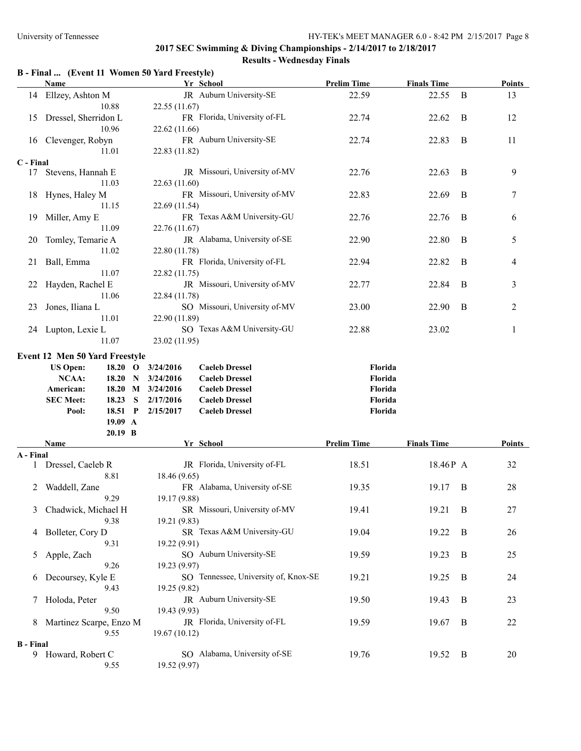#### **B - Final ... (Event 11 Women 50 Yard Freestyle)**

|                  | <b>Name</b>                           | Yr School                                    | <b>Prelim Time</b> | <b>Finals Time</b> |                  | <b>Points</b>  |
|------------------|---------------------------------------|----------------------------------------------|--------------------|--------------------|------------------|----------------|
|                  | 14 Ellzey, Ashton M                   | JR Auburn University-SE                      | 22.59              | 22.55              | B                | 13             |
|                  | 10.88                                 | 22.55 (11.67)                                |                    |                    |                  |                |
| 15               | Dressel, Sherridon L                  | FR Florida, University of-FL                 | 22.74              | 22.62              | B                | 12             |
|                  | 10.96                                 | 22.62 (11.66)                                |                    |                    |                  |                |
|                  | 16 Clevenger, Robyn                   | FR Auburn University-SE                      | 22.74              | 22.83              | B                | 11             |
|                  | 11.01                                 | 22.83 (11.82)                                |                    |                    |                  |                |
| C - Final        |                                       |                                              |                    |                    |                  |                |
|                  | 17 Stevens, Hannah E                  | JR Missouri, University of-MV                | 22.76              | 22.63              | B                | 9              |
|                  | 11.03                                 | 22.63 (11.60)                                |                    |                    |                  |                |
|                  | 18 Hynes, Haley M                     | FR Missouri, University of-MV                | 22.83              | 22.69              | B                | 7              |
|                  | 11.15                                 | 22.69 (11.54)                                |                    |                    |                  |                |
| 19               | Miller, Amy E                         | FR Texas A&M University-GU                   | 22.76              | 22.76              | B                | 6              |
|                  | 11.09                                 | 22.76 (11.67)                                |                    |                    |                  |                |
| 20               | Tomley, Temarie A                     | JR Alabama, University of-SE                 | 22.90              | 22.80              | B                | 5              |
|                  | 11.02                                 | 22.80 (11.78)                                |                    |                    |                  |                |
| 21               | Ball, Emma                            | FR Florida, University of-FL                 | 22.94              | 22.82              | B                | 4              |
|                  | 11.07                                 | 22.82 (11.75)                                |                    |                    |                  |                |
| 22               | Hayden, Rachel E                      | JR Missouri, University of-MV                | 22.77              | 22.84              | B                | 3              |
|                  | 11.06                                 | 22.84 (11.78)                                |                    |                    |                  |                |
| 23               | Jones, Iliana L                       | SO Missouri, University of-MV                | 23.00              | 22.90              | B                | $\overline{2}$ |
|                  | 11.01                                 | 22.90 (11.89)                                |                    |                    |                  |                |
|                  | 24 Lupton, Lexie L                    | SO Texas A&M University-GU                   | 22.88              | 23.02              |                  | 1              |
|                  | 11.07                                 | 23.02 (11.95)                                |                    |                    |                  |                |
|                  | <b>Event 12 Men 50 Yard Freestyle</b> |                                              |                    |                    |                  |                |
|                  | <b>US Open:</b><br>$18.20\quad O$     | 3/24/2016<br><b>Caeleb Dressel</b>           | Florida            |                    |                  |                |
|                  | NCAA:<br>18.20<br>$\mathbf N$         | 3/24/2016<br><b>Caeleb Dressel</b>           | Florida            |                    |                  |                |
|                  | American:<br>18.20                    | M 3/24/2016<br><b>Caeleb Dressel</b>         | Florida            |                    |                  |                |
|                  | <b>SEC Meet:</b><br>18.23<br><b>S</b> | 2/17/2016<br><b>Caeleb Dressel</b>           | Florida            |                    |                  |                |
|                  | Pool:<br>18.51 P                      | 2/15/2017<br><b>Caeleb Dressel</b>           | Florida            |                    |                  |                |
|                  | 19.09 A                               |                                              |                    |                    |                  |                |
|                  |                                       |                                              |                    |                    |                  |                |
|                  | $20.19$ B                             |                                              |                    |                    |                  |                |
|                  | Name                                  | Yr School                                    | <b>Prelim Time</b> | <b>Finals Time</b> |                  | <b>Points</b>  |
| A - Final        |                                       |                                              |                    |                    |                  |                |
|                  | Dressel, Caeleb R                     | JR Florida, University of-FL                 | 18.51              | 18.46P A           |                  | 32             |
|                  | 8.81                                  | 18.46 (9.65)                                 |                    |                    |                  |                |
| 2                | Waddell, Zane                         | FR Alabama, University of-SE                 | 19.35              | 19.17              | B                | 28             |
|                  | 9.29                                  | 19.17 (9.88)                                 |                    |                    |                  |                |
| 3                | Chadwick, Michael H                   | SR Missouri, University of-MV                | 19.41              | 19.21              | $\boldsymbol{B}$ | 27             |
|                  | 9.38                                  | 19.21 (9.83)                                 |                    |                    |                  |                |
| 4                | Bolleter, Cory D<br>9.31              | SR Texas A&M University-GU                   | 19.04              | 19.22              | B                | 26             |
|                  |                                       | 19.22 (9.91)<br>SO Auburn University-SE      | 19.59              |                    |                  |                |
| 5                | Apple, Zach                           |                                              |                    | 19.23              | B                | 25             |
| 6                | 9.26                                  | 19.23 (9.97)                                 |                    |                    |                  |                |
|                  | Decoursey, Kyle E<br>9.43             | SO Tennessee, University of, Knox-SE         | 19.21              | 19.25              | B                | 24             |
| 7                |                                       | 19.25 (9.82)<br>JR Auburn University-SE      | 19.50              | 19.43              | B                |                |
|                  | Holoda, Peter<br>9.50                 | 19.43 (9.93)                                 |                    |                    |                  | 23             |
| 8                |                                       | JR Florida, University of-FL                 | 19.59              | 19.67              | B                | 22             |
|                  | Martinez Scarpe, Enzo M<br>9.55       | 19.67 (10.12)                                |                    |                    |                  |                |
| <b>B</b> - Final |                                       |                                              |                    |                    |                  |                |
|                  | 9 Howard, Robert C<br>9.55            | SO Alabama, University of-SE<br>19.52 (9.97) | 19.76              | 19.52              | B                | 20             |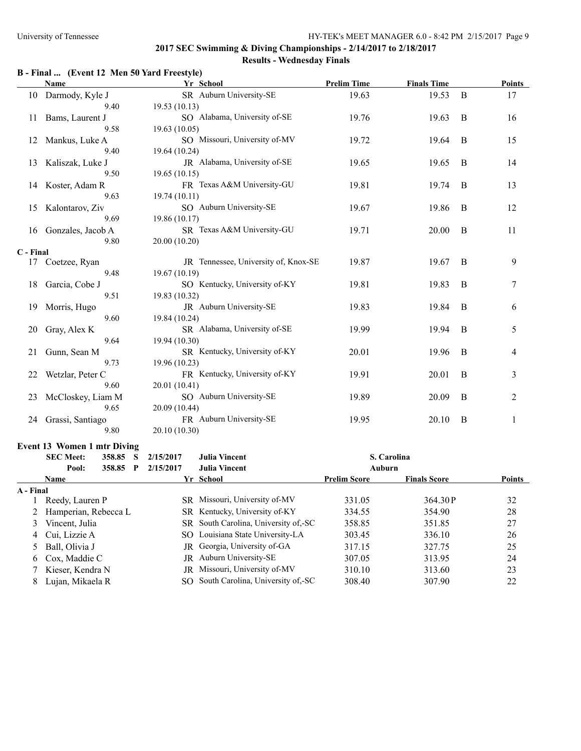# **B - Final ... (Event 12 Men 50 Yard Freestyle)**

|           | <b>Name</b>          | Yr School                            | <b>Prelim Time</b> | <b>Finals Time</b> |          | <b>Points</b> |
|-----------|----------------------|--------------------------------------|--------------------|--------------------|----------|---------------|
| 10        | Darmody, Kyle J      | SR Auburn University-SE              | 19.63              | 19.53              | B        | 17            |
|           | 9.40                 | 19.53(10.13)                         |                    |                    |          |               |
| 11        | Bams, Laurent J      | SO Alabama, University of-SE         | 19.76              | 19.63              | B        | 16            |
|           | 9.58                 | 19.63(10.05)                         |                    |                    |          |               |
| 12        | Mankus, Luke A       | SO Missouri, University of-MV        | 19.72              | 19.64              | B        | 15            |
|           | 9.40                 | 19.64 (10.24)                        |                    |                    |          |               |
| 13        | Kaliszak, Luke J     | JR Alabama, University of-SE         | 19.65              | 19.65              | B        | 14            |
|           | 9.50                 | 19.65(10.15)                         |                    |                    |          |               |
|           | 14 Koster, Adam R    | FR Texas A&M University-GU           | 19.81              | 19.74              | B        | 13            |
|           | 9.63                 | 19.74 (10.11)                        |                    |                    |          |               |
| 15        | Kalontarov, Ziv      | SO Auburn University-SE              | 19.67              | 19.86              | B        | 12            |
|           | 9.69                 | 19.86 (10.17)                        |                    |                    |          |               |
|           | 16 Gonzales, Jacob A | SR Texas A&M University-GU           | 19.71              | 20.00              | $\bf{B}$ | 11            |
|           | 9.80                 | 20.00 (10.20)                        |                    |                    |          |               |
| C - Final |                      |                                      |                    |                    |          |               |
| 17        | Coetzee, Ryan        | JR Tennessee, University of, Knox-SE | 19.87              | 19.67              | B        | 9             |
|           | 9.48                 | 19.67 (10.19)                        |                    |                    |          |               |
| 18        | Garcia, Cobe J       | SO Kentucky, University of-KY        | 19.81              | 19.83              | B        | 7             |
|           | 9.51                 | 19.83 (10.32)                        |                    |                    |          |               |
| 19        | Morris, Hugo         | JR Auburn University-SE              | 19.83              | 19.84              | B        | 6             |
|           | 9.60                 | 19.84 (10.24)                        |                    |                    |          |               |
| 20        | Gray, Alex K         | SR Alabama, University of-SE         | 19.99              | 19.94              | B        | 5             |
|           | 9.64                 | 19.94 (10.30)                        |                    |                    |          |               |
| 21        | Gunn, Sean M         | SR Kentucky, University of-KY        | 20.01              | 19.96              | B        | 4             |
|           | 9.73                 | 19.96 (10.23)                        |                    |                    |          |               |
| 22        | Wetzlar, Peter C     | FR Kentucky, University of-KY        | 19.91              | 20.01              | B        | 3             |
|           | 9.60                 | 20.01 (10.41)                        |                    |                    |          |               |
| 23        | McCloskey, Liam M    | SO Auburn University-SE              | 19.89              | 20.09              | B        | 2             |
|           | 9.65                 | 20.09 (10.44)                        |                    |                    |          |               |
| 24        | Grassi, Santiago     | FR Auburn University-SE              | 19.95              | 20.10              | B        | 1             |
|           | 9.80                 | 20.10 (10.30)                        |                    |                    |          |               |

#### **Event 13 Women 1 mtr Diving**

|           | <b>SEC Meet:</b><br>358.85<br>S | 2/15/2017 | Julia Vincent                       |                     | S. Carolina         |               |  |
|-----------|---------------------------------|-----------|-------------------------------------|---------------------|---------------------|---------------|--|
|           | Pool:<br>358.85<br>P            | 2/15/2017 | <b>Julia Vincent</b>                | Auburn              |                     |               |  |
|           | <b>Name</b>                     |           | Yr School                           | <b>Prelim Score</b> | <b>Finals Score</b> | <b>Points</b> |  |
| A - Final |                                 |           |                                     |                     |                     |               |  |
|           | Reedy, Lauren P                 |           | SR Missouri, University of-MV       | 331.05              | 364.30 P            | 32            |  |
|           | 2 Hamperian, Rebecca L          |           | SR Kentucky, University of-KY       | 334.55              | 354.90              | 28            |  |
| 3         | Vincent, Julia                  |           | SR South Carolina, University of SC | 358.85              | 351.85              | 27            |  |
|           | 4 Cui, Lizzie A                 |           | SO Louisiana State University-LA    | 303.45              | 336.10              | 26            |  |
|           | 5 Ball, Olivia J                |           | JR Georgia, University of-GA        | 317.15              | 327.75              | 25            |  |
|           | 6 Cox, Maddie C                 |           | <b>JR</b> Auburn University-SE      | 307.05              | 313.95              | 24            |  |
|           | <sup>7</sup> Kieser, Kendra N   |           | JR Missouri, University of-MV       | 310.10              | 313.60              | 23            |  |
|           | Lujan, Mikaela R                |           | SO South Carolina, University of SC | 308.40              | 307.90              | 22            |  |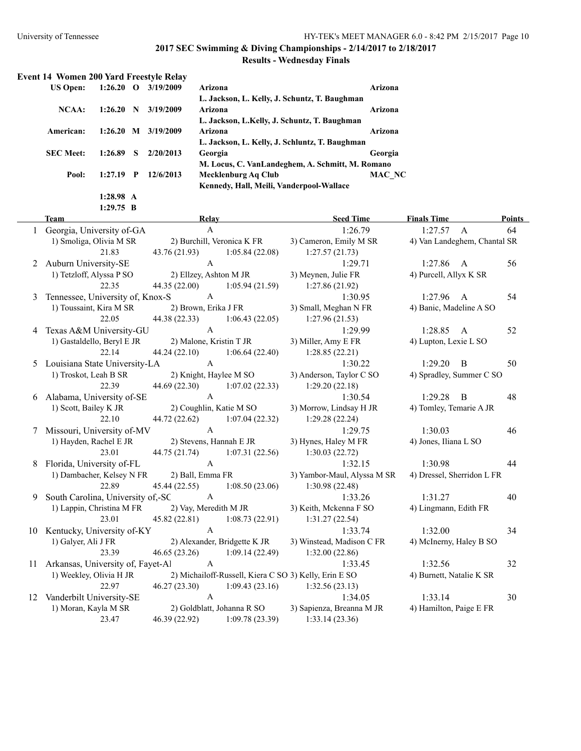# **2017 SEC Swimming & Diving Championships - 2/14/2017 to 2/18/2017**

# **Results - Wednesday Finals**

| <b>Event 14 Women 200 Yard Freestyle Relay</b> |             |    |           |                                                  |         |
|------------------------------------------------|-------------|----|-----------|--------------------------------------------------|---------|
| <b>US Open:</b>                                | $1:26.20$ O |    | 3/19/2009 | Arizona                                          | Arizona |
|                                                |             |    |           | L. Jackson, L. Kelly, J. Schuntz, T. Baughman    |         |
| NCAA:                                          | 1:26.20     | N  | 3/19/2009 | Arizona                                          | Arizona |
|                                                |             |    |           | L. Jackson, L.Kelly, J. Schuntz, T. Baughman     |         |
| American:                                      | 1:26.20     | M  | 3/19/2009 | Arizona                                          | Arizona |
|                                                |             |    |           | L. Jackson, L. Kelly, J. Schluntz, T. Baughman   |         |
| <b>SEC Meet:</b>                               | 1:26.89     | -S | 2/20/2013 | Georgia                                          | Georgia |
|                                                |             |    |           | M. Locus, C. VanLandeghem, A. Schmitt, M. Romano |         |
| Pool:                                          | 1:27.19     | P  | 12/6/2013 | Mecklenburg Aq Club                              | MAC NC  |
|                                                |             |    |           | Kennedy, Hall, Meili, Vanderpool-Wallace         |         |
|                                                | 1:28.98 A   |    |           |                                                  |         |

**1:29.75 B**

|   | <b>Team</b>                          | Relay                         |                              | <b>Seed Time</b>                                      | <b>Finals Time</b>           |                | <b>Points</b> |
|---|--------------------------------------|-------------------------------|------------------------------|-------------------------------------------------------|------------------------------|----------------|---------------|
|   | 1 Georgia, University of-GA          | $\mathbf{A}$                  |                              | 1:26.79                                               | 1:27.57 A                    |                | 64            |
|   | 1) Smoliga, Olivia M SR              |                               | 2) Burchill, Veronica K FR   | 3) Cameron, Emily M SR                                | 4) Van Landeghem, Chantal SR |                |               |
|   | 21.83                                | 43.76 (21.93)                 | 1:05.84(22.08)               | 1:27.57(21.73)                                        |                              |                |               |
|   | 2 Auburn University-SE               | $\mathbf{A}$                  |                              | 1:29.71                                               | $1:27.86$ A                  |                | 56            |
|   | 1) Tetzloff, Alyssa P SO             |                               | 2) Ellzey, Ashton M JR       | 3) Meynen, Julie FR                                   | 4) Purcell, Allyx K SR       |                |               |
|   | 22.35                                | 44.35 (22.00) 1:05.94 (21.59) |                              | 1:27.86(21.92)                                        |                              |                |               |
| 3 | Tennessee, University of, Knox-S     | $\mathbf{A}$                  |                              | 1:30.95                                               | 1:27.96                      | $\overline{A}$ | 54            |
|   | 1) Toussaint, Kira M SR              | 2) Brown, Erika J FR          |                              | 3) Small, Meghan N FR                                 | 4) Banic, Madeline A SO      |                |               |
|   | 22.05                                | 44.38 (22.33)                 | 1:06.43(22.05)               | 1:27.96(21.53)                                        |                              |                |               |
| 4 | Texas A&M University-GU              | $\mathsf{A}$                  |                              | 1:29.99                                               | 1:28.85 A                    |                | 52            |
|   | 1) Gastaldello, Beryl E JR           |                               | 2) Malone, Kristin T JR      | 3) Miller, Amy E FR                                   | 4) Lupton, Lexie L SO        |                |               |
|   | 22.14                                | 44.24 (22.10)                 | 1:06.64(22.40)               | 1:28.85(22.21)                                        |                              |                |               |
| 5 | Louisiana State University-LA        | A                             |                              | 1:30.22                                               | $1:29.20$ B                  |                | 50            |
|   | 1) Troskot, Leah B SR                |                               | 2) Knight, Haylee M SO       | 3) Anderson, Taylor C SO                              | 4) Spradley, Summer C SO     |                |               |
|   | 22.39                                | 44.69 (22.30)                 | 1:07.02(22.33)               | 1:29.20(22.18)                                        |                              |                |               |
| 6 | Alabama, University of-SE            | $\mathsf{A}$                  |                              | 1:30.54                                               | 1:29.28                      | $\mathbf{B}$   | 48            |
|   | 1) Scott, Bailey K JR                | 2) Coughlin, Katie M SO       |                              | 3) Morrow, Lindsay H JR                               | 4) Tomley, Temarie A JR      |                |               |
|   | 22.10                                | 44.72 (22.62)                 | 1:07.04(22.32)               | 1:29.28(22.24)                                        |                              |                |               |
|   | Missouri, University of-MV           | $\mathsf{A}$                  |                              | 1:29.75                                               | 1:30.03                      |                | 46            |
|   | 1) Hayden, Rachel E JR               | 2) Stevens, Hannah E JR       |                              | 3) Hynes, Haley M FR                                  | 4) Jones, Iliana L SO        |                |               |
|   | 23.01                                | 44.75 (21.74)                 | 1:07.31(22.56)               | 1:30.03(22.72)                                        |                              |                |               |
|   | Florida, University of-FL            | $\mathsf{A}$                  |                              | 1:32.15                                               | 1:30.98                      |                | 44            |
|   | 1) Dambacher, Kelsey N FR            | 2) Ball, Emma FR              |                              | 3) Yambor-Maul, Alyssa M SR                           | 4) Dressel, Sherridon L FR   |                |               |
|   | 22.89                                | 45.44 (22.55)                 | 1:08.50(23.06)               | 1:30.98(22.48)                                        |                              |                |               |
| 9 | South Carolina, University of,-SC    | $\mathbf{A}$                  |                              | 1:33.26                                               | 1:31.27                      |                | 40            |
|   | 1) Lappin, Christina M FR            |                               | 2) Vay, Meredith M JR        | 3) Keith, Mckenna F SO                                | 4) Lingmann, Edith FR        |                |               |
|   | 23.01                                | 45.82 (22.81)                 |                              | $1:08.73(22.91)$ $1:31.27(22.54)$                     |                              |                |               |
|   | 10 Kentucky, University of-KY        | $\mathsf{A}$                  |                              | 1:33.74                                               | 1:32.00                      |                | 34            |
|   | 1) Galyer, Ali J FR                  |                               | 2) Alexander, Bridgette K JR | 3) Winstead, Madison C FR                             | 4) McInerny, Haley B SO      |                |               |
|   | 23.39                                | 46.65(23.26)                  | 1:09.14(22.49)               | 1:32.00(22.86)                                        |                              |                |               |
|   | 11 Arkansas, University of, Fayet-Al | $\mathbf{A}$                  |                              | 1:33.45                                               | 1:32.56                      |                | 32            |
|   | 1) Weekley, Olivia H JR              |                               |                              | 2) Michailoff-Russell, Kiera C SO 3) Kelly, Erin E SO | 4) Burnett, Natalie K SR     |                |               |
|   | 22.97                                | 46.27(23.30)                  |                              | $1:09.43(23.16)$ $1:32.56(23.13)$                     |                              |                |               |
|   | 12 Vanderbilt University-SE          | $\mathbf{A}$                  |                              | 1:34.05                                               | 1:33.14                      |                | 30            |
|   | 1) Moran, Kayla M SR                 |                               | 2) Goldblatt, Johanna R SO   | 3) Sapienza, Breanna M JR                             | 4) Hamilton, Paige E FR      |                |               |
|   | 23.47                                | 46.39 (22.92) 1:09.78 (23.39) |                              | 1:33.14(23.36)                                        |                              |                |               |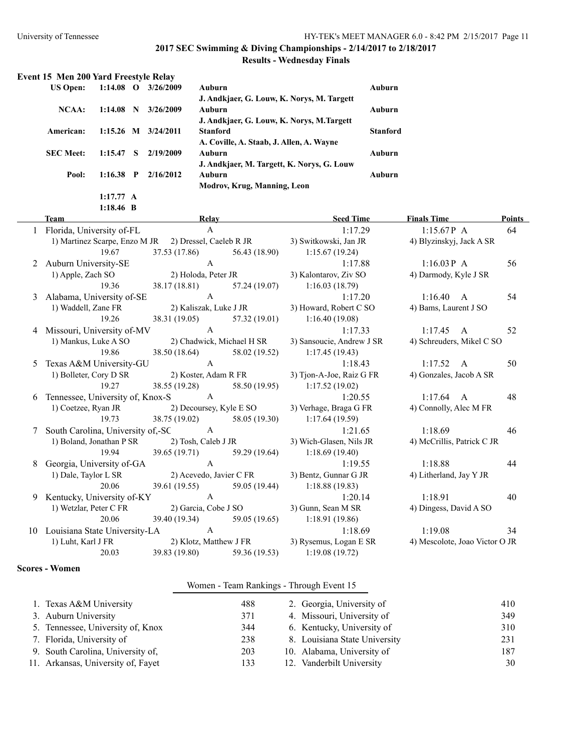**1:18.46 B**

# **2017 SEC Swimming & Diving Championships - 2/14/2017 to 2/18/2017**

# **Results - Wednesday Finals**

| Event 15 Men 200 Yard Freestyle Relay |                     |              |           |                                            |                 |
|---------------------------------------|---------------------|--------------|-----------|--------------------------------------------|-----------------|
| <b>US Open:</b>                       | $1:14.08$ O         |              | 3/26/2009 | Auburn                                     | <b>Auburn</b>   |
|                                       |                     |              |           | J. Andkjaer, G. Louw, K. Norys, M. Targett |                 |
| NCAA:                                 | 1:14.08             | N            | 3/26/2009 | Auburn                                     | <b>Auburn</b>   |
|                                       |                     |              |           | J. Andkjaer, G. Louw, K. Norys, M.Targett  |                 |
| American:                             | $1:15.26$ M         |              | 3/24/2011 | <b>Stanford</b>                            | <b>Stanford</b> |
|                                       |                     |              |           | A. Coville, A. Staab, J. Allen, A. Wayne   |                 |
| <b>SEC Meet:</b>                      | 1:15.47             | -S           | 2/19/2009 | Auburn                                     | <b>Auburn</b>   |
|                                       |                     |              |           | J. Andkjaer, M. Targett, K. Norys, G. Louw |                 |
| Pool:                                 | 1:16.38             | $\mathbf{P}$ | 2/16/2012 | Auburn                                     | <b>Auburn</b>   |
|                                       |                     |              |           | Modrov, Krug, Manning, Leon                |                 |
|                                       | $1:17.77 \text{ A}$ |              |           |                                            |                 |

|                      | <b>Team</b>                                                        | Relay                                                                |  | <b>Seed Time</b>                                                            | <b>Finals Time</b>             | <b>Points</b> |
|----------------------|--------------------------------------------------------------------|----------------------------------------------------------------------|--|-----------------------------------------------------------------------------|--------------------------------|---------------|
|                      | 1 Florida, University of-FL                                        | $\mathbf{A}$                                                         |  | 1:17.29                                                                     | $1:15.67P$ A                   | 64            |
|                      |                                                                    |                                                                      |  | 1) Martinez Scarpe, Enzo M JR 2) Dressel, Caeleb R JR 3) Switkowski, Jan JR | 4) Blyzinskyj, Jack A SR       |               |
|                      | 19.67                                                              |                                                                      |  | 37.53 (17.86) 56.43 (18.90) 1:15.67 (19.24)                                 |                                |               |
|                      | 2 Auburn University-SE                                             | $\mathbf{A}$                                                         |  | 1:17.88                                                                     | 1:16.03 P A                    | 56            |
|                      |                                                                    | 1) Apple, Zach SO 2) Holoda, Peter JR 3) Kalontarov, Ziv SO          |  |                                                                             | 4) Darmody, Kyle J SR          |               |
|                      | 19.36                                                              |                                                                      |  | 38.17 (18.81) 57.24 (19.07) 1:16.03 (18.79)                                 |                                |               |
|                      | 3 Alabama, University of-SE A                                      |                                                                      |  | 1:17.20                                                                     | 1:16.40 A                      | 54            |
|                      | 1) Waddell, Zane FR 2) Kaliszak, Luke J JR 3) Howard, Robert C SO  |                                                                      |  |                                                                             | 4) Bams, Laurent J SO          |               |
|                      | 19.26                                                              |                                                                      |  | 38.31 (19.05) 57.32 (19.01) 1:16.40 (19.08)                                 |                                |               |
|                      | Missouri, University of-MV A                                       |                                                                      |  | 1:17.33                                                                     | $1:17.45$ A                    | 52            |
| 1) Mankus, Luke A SO |                                                                    | 2) Chadwick, Michael H SR 3) Sansoucie, Andrew J SR                  |  |                                                                             | 4) Schreuders, Mikel C SO      |               |
|                      | 19.86                                                              |                                                                      |  | 38.50 (18.64) 58.02 (19.52) 1:17.45 (19.43)                                 |                                |               |
| 5                    | Texas A&M University-GU A                                          |                                                                      |  | 1:18.43                                                                     | $1:17.52 \quad A$              | 50            |
|                      |                                                                    | 1) Bolleter, Cory D SR 2) Koster, Adam R FR 3) Tjon-A-Joe, Raiz G FR |  |                                                                             | 4) Gonzales, Jacob A SR        |               |
|                      | 19.27                                                              |                                                                      |  | 38.55 (19.28) 58.50 (19.95) 1:17.52 (19.02)                                 |                                |               |
|                      | 6 Tennessee, University of, Knox-S A                               |                                                                      |  | 1:20.55                                                                     | $1:17.64$ A                    | 48            |
|                      | 1) Coetzee, Ryan JR 2) Decoursey, Kyle E SO 3) Verhage, Braga G FR |                                                                      |  |                                                                             | 4) Connolly, Alec M FR         |               |
|                      | 19.73                                                              |                                                                      |  | 38.75 (19.02) 58.05 (19.30) 1:17.64 (19.59)                                 |                                |               |
|                      | 7 South Carolina, University of SC A                               |                                                                      |  | 1:21.65                                                                     | 1:18.69                        | 46            |
|                      |                                                                    | 1) Boland, Jonathan P SR 2) Tosh, Caleb J JR 3) Wich-Glasen, Nils JR |  |                                                                             | 4) McCrillis, Patrick C JR     |               |
|                      | 19.94                                                              |                                                                      |  | 39.65 (19.71) 59.29 (19.64) 1:18.69 (19.40)                                 |                                |               |
|                      | Georgia, University of-GA A                                        |                                                                      |  | 1:19.55                                                                     | 1:18.88                        | 44            |
|                      |                                                                    | 1) Dale, Taylor L SR 2) Acevedo, Javier C FR 3) Bentz, Gunnar G JR   |  |                                                                             | 4) Litherland, Jay Y JR        |               |
|                      |                                                                    |                                                                      |  | 20.06 39.61 (19.55) 59.05 (19.44) 1:18.88 (19.83)                           |                                |               |
|                      | 9 Kentucky, University of-KY A                                     |                                                                      |  | 1:20.14                                                                     | 1:18.91                        | 40            |
|                      |                                                                    | 1) Wetzlar, Peter C FR 2) Garcia, Cobe J SO 3) Gunn, Sean M SR       |  |                                                                             | 4) Dingess, David A SO         |               |
|                      | 20.06                                                              |                                                                      |  | 39.40 (19.34) 59.05 (19.65) 1:18.91 (19.86)                                 |                                |               |
|                      | 10 Louisiana State University-LA A                                 |                                                                      |  | 1:18.69                                                                     | 1:19.08                        | 34            |
|                      |                                                                    | 1) Luht, Karl J FR 2) Klotz, Matthew J FR 3) Rysemus, Logan E SR     |  |                                                                             | 4) Mescolote, Joao Victor O JR |               |
|                      | 20.03                                                              |                                                                      |  | 39.83 (19.80) 59.36 (19.53) 1:19.08 (19.72)                                 |                                |               |

#### **Scores - Women**

#### Women - Team Rankings - Through Event 15

| 1. Texas A&M University            | 488 | 2. Georgia, University of     | 410 |
|------------------------------------|-----|-------------------------------|-----|
| 3. Auburn University               | 371 | 4. Missouri, University of    | 349 |
| 5. Tennessee, University of, Knox  | 344 | 6. Kentucky, University of    | 310 |
| 7. Florida, University of          | 238 | 8. Louisiana State University | 231 |
| 9. South Carolina, University of,  | 203 | 10. Alabama, University of    | 187 |
| 11. Arkansas, University of, Fayet | 133 | 12. Vanderbilt University     | 30  |